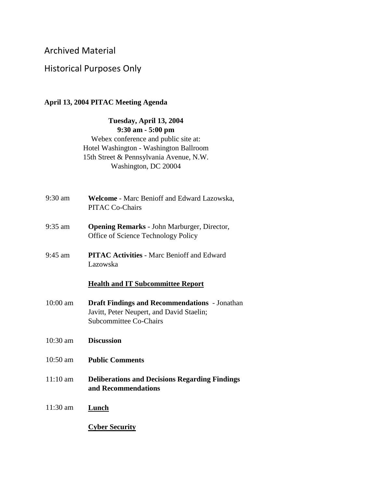## Archived Material

## Historical Purposes Only

## **April 13, 2004 PITAC Meeting Agenda**

**Tuesday, April 13, 2004 9:30 am - 5:00 pm** Webex conference and public site at: Hotel Washington - Washington Ballroom 15th Street & Pennsylvania Avenue, N.W. Washington, DC 20004

- 9:30 am **Welcome** Marc Benioff and Edward Lazowska, PITAC Co-Chairs
- 9:35 am **Opening Remarks** John Marburger, Director, Office of Science Technology Policy
- 9:45 am **PITAC Activities** Marc Benioff and Edward Lazowska

## **Health and IT Subcommittee Report**

- 10:00 am **Draft Findings and Recommendations** Jonathan Javitt, Peter Neupert, and David Staelin; Subcommittee Co-Chairs
- 10:30 am **Discussion**
- 10:50 am **Public Comments**
- 11:10 am **Deliberations and Decisions Regarding Findings and Recommendations**
- 11:30 am **Lunch**

**Cyber Security**